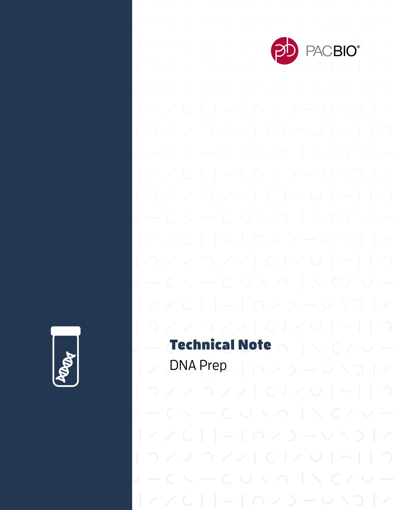

# Technical Note

 $\vert \angle$  DNA Prep\_ $\vert \cap \angle$  )  $\vert \cup$   $\setminus$   $\supset$   $\vert \angle$ 

 $\sim -$  C U  $\vee$  O  $\mid$   $\wedge$  C  $\wedge$  U  $|770| - |070 - 010|$ 

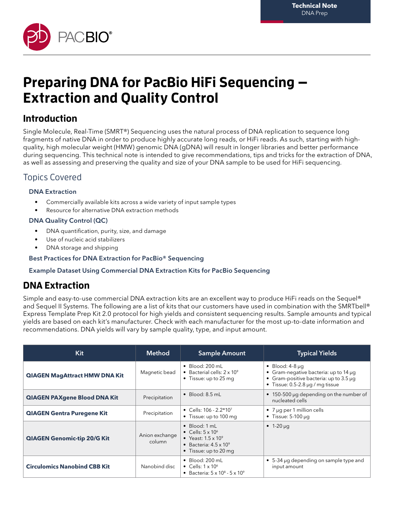

# **Preparing DNA for PacBio HiFi Sequencing — Extraction and Quality Control**

## **Introduction**

Single Molecule, Real-Time (SMRT®) Sequencing uses the natural process of DNA replication to sequence long fragments of native DNA in order to produce highly accurate long reads, or HiFi reads. As such, starting with highquality, high molecular weight (HMW) genomic DNA (gDNA) will result in longer libraries and better performance during sequencing. This technical note is intended to give recommendations, tips and tricks for the extraction of DNA, as well as assessing and preserving the quality and size of your DNA sample to be used for HiFi sequencing.

### Topics Covered

#### DNA Extraction

- Commercially available kits across a wide variety of input sample types
- Resource for alternative DNA extraction methods

#### DNA Quality Control (QC)

- DNA quantification, purity, size, and damage
- Use of nucleic acid stabilizers
- DNA storage and shipping

#### Best Practices for DNA Extraction for PacBio® Sequencing

#### Example Dataset Using Commercial DNA Extraction Kits for PacBio Sequencing

## **DNA Extraction**

Simple and easy-to-use commercial DNA extraction kits are an excellent way to produce HiFi reads on the Sequel® and Sequel II Systems. The following are a list of kits that our customers have used in combination with the SMRTbell® Express Template Prep Kit 2.0 protocol for high yields and consistent sequencing results. Sample amounts and typical yields are based on each kit's manufacturer. Check with each manufacturer for the most up-to-date information and recommendations. DNA yields will vary by sample quality, type, and input amount.

| Kit                                  | <b>Method</b>            | <b>Sample Amount</b>                                                                                                                                                                                                                                  | <b>Typical Yields</b>                                          |  |
|--------------------------------------|--------------------------|-------------------------------------------------------------------------------------------------------------------------------------------------------------------------------------------------------------------------------------------------------|----------------------------------------------------------------|--|
| <b>QIAGEN MagAttract HMW DNA Kit</b> | Magnetic bead            | $\bullet$ Blood: 200 mL<br>$\bullet$ Blood: 4-8 µg<br>• Bacterial cells: $2 \times 10^9$<br>• Gram-negative bacteria: up to 14 $\mu$ g<br>• Gram-positive bacteria: up to $3.5 \mu q$<br>• Tissue: up to 25 mg<br>• Tissue: $0.5-2.8 \mu q/mq$ tissue |                                                                |  |
| <b>QIAGEN PAXgene Blood DNA Kit</b>  | Precipitation            | $\bullet$ Blood: 8.5 mL<br>• 150-500 µg depending on the number of<br>nucleated cells                                                                                                                                                                 |                                                                |  |
| <b>QIAGEN Gentra Puregene Kit</b>    | Precipitation            | • Cells: $106 - 2.2 \times 10^7$<br>• Tissue: up to 100 mg                                                                                                                                                                                            | • $7 \mu$ q per 1 million cells<br>• Tissue: $5-100 \mu q$     |  |
| <b>QIAGEN Genomic-tip 20/G Kit</b>   | Anion exchange<br>column | $\bullet$ Blood: 1 mL<br>• Cells: $5 \times 10^6$<br>• Yeast: $1.5 \times 10^9$<br>• Bacteria: $4.5 \times 10^9$<br>• Tissue: up to 20 mg                                                                                                             | • $1-20 \mu q$                                                 |  |
| <b>Circulomics Nanobind CBB Kit</b>  | Nanobind disc            | $\bullet$ Blood: 200 mL<br>• Cells: $1 \times 10^6$<br>• Bacteria: $5 \times 10^8 - 5 \times 10^9$                                                                                                                                                    | $\bullet$ 5-34 µg depending on sample type and<br>input amount |  |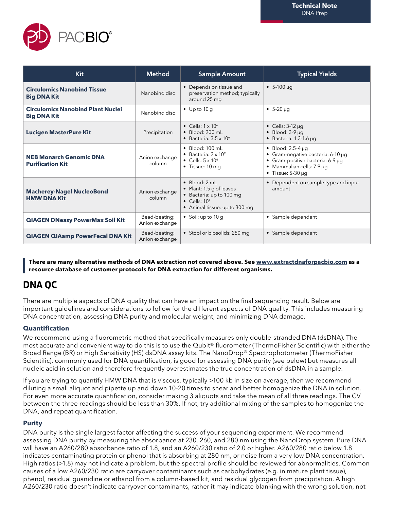

| Kit                                                            | <b>Method</b>                   | <b>Sample Amount</b>                                                                                                                               | <b>Typical Yields</b>                                                                                                                                        |  |
|----------------------------------------------------------------|---------------------------------|----------------------------------------------------------------------------------------------------------------------------------------------------|--------------------------------------------------------------------------------------------------------------------------------------------------------------|--|
| <b>Circulomics Nanobind Tissue</b><br><b>Big DNA Kit</b>       | Nanobind disc                   | • Depends on tissue and<br>preservation method; typically<br>around 25 mg                                                                          | $\bullet$ 5-100 µg                                                                                                                                           |  |
| <b>Circulomics Nanobind Plant Nuclei</b><br><b>Big DNA Kit</b> | Nanobind disc                   | $\bullet$ Up to 10 g                                                                                                                               | $-5-20 \mu q$                                                                                                                                                |  |
| <b>Lucigen MasterPure Kit</b>                                  | Precipitation                   | • Cells: $1 \times 10^6$<br>$\bullet$ Blood: 200 ml<br>• Bacteria: $3.5 \times 10^6$                                                               | • Cells: $3-12 \mu q$<br>$\bullet$ Blood: 3-9 µq<br>$\bullet$ Bacteria: 1.3-1.6 µg                                                                           |  |
| <b>NEB Monarch Genomic DNA</b><br><b>Purification Kit</b>      | Anion exchange<br>column        | $\bullet$ Blood: 100 mL<br>• Bacteria: $2 \times 10^9$<br>• Cells: $5 \times 10^6$<br>$\bullet$ Tissue: 10 mg                                      | $\bullet$ Blood: 2.5-4 µq<br>• Gram-negative bacteria: 6-10 µg<br>• Gram-positive bacteria: 6-9 µg<br>• Mammalian cells: 7-9 µg<br>$\bullet$ Tissue: 5-30 µg |  |
| <b>Macherey-Nagel NucleoBond</b><br><b>HMW DNA Kit</b>         | Anion exchange<br>column        | $\bullet$ Blood: 2 mL<br>• Plant: 1.5 g of leaves<br>• Bacteria: up to 100 mg<br>$\bullet$ Cells: 10 <sup>7</sup><br>• Animal tissue: up to 300 mg | • Dependent on sample type and input<br>amount                                                                                                               |  |
| <b>QIAGEN DNeasy PowerMax Soil Kit</b>                         | Bead-beating;<br>Anion exchange | • Soil: up to $10 g$                                                                                                                               | • Sample dependent                                                                                                                                           |  |
| <b>QIAGEN QIAamp PowerFecal DNA Kit</b>                        | Bead-beating;<br>Anion exchange | • Stool or biosolids: 250 mg                                                                                                                       | • Sample dependent                                                                                                                                           |  |

**There are many alternative methods of DNA extraction not covered above. See www.extractdnaforpacbio.com as a resource database of customer protocols for DNA extraction for different organisms.**

# **DNA QC**

There are multiple aspects of DNA quality that can have an impact on the final sequencing result. Below are important guidelines and considerations to follow for the different aspects of DNA quality. This includes measuring DNA concentration, assessing DNA purity and molecular weight, and minimizing DNA damage.

#### **Quantification**

We recommend using a fluorometric method that specifically measures only double-stranded DNA (dsDNA). The most accurate and convenient way to do this is to use the Qubit® fluorometer (ThermoFisher Scientific) with either the Broad Range (BR) or High Sensitivity (HS) dsDNA assay kits. The NanoDrop® Spectrophotometer (ThermoFisher Scientific), commonly used for DNA quantification, is good for assessing DNA purity (see below) but measures all nucleic acid in solution and therefore frequently overestimates the true concentration of dsDNA in a sample.

If you are trying to quantify HMW DNA that is viscous, typically >100 kb in size on average, then we recommend diluting a small aliquot and pipette up and down 10-20 times to shear and better homogenize the DNA in solution. For even more accurate quantification, consider making 3 aliquots and take the mean of all three readings. The CV between the three readings should be less than 30%. If not, try additional mixing of the samples to homogenize the DNA, and repeat quantification.

#### **Purity**

DNA purity is the single largest factor affecting the success of your sequencing experiment. We recommend assessing DNA purity by measuring the absorbance at 230, 260, and 280 nm using the NanoDrop system. Pure DNA will have an A260/280 absorbance ratio of 1.8, and an A260/230 ratio of 2.0 or higher. A260/280 ratio below 1.8 indicates contaminating protein or phenol that is absorbing at 280 nm, or noise from a very low DNA concentration. High ratios (>1.8) may not indicate a problem, but the spectral profile should be reviewed for abnormalities. Common causes of a low A260/230 ratio are carryover contaminants such as carbohydrates (e.g. in mature plant tissue), phenol, residual guanidine or ethanol from a column-based kit, and residual glycogen from precipitation. A high A260/230 ratio doesn't indicate carryover contaminants, rather it may indicate blanking with the wrong solution, not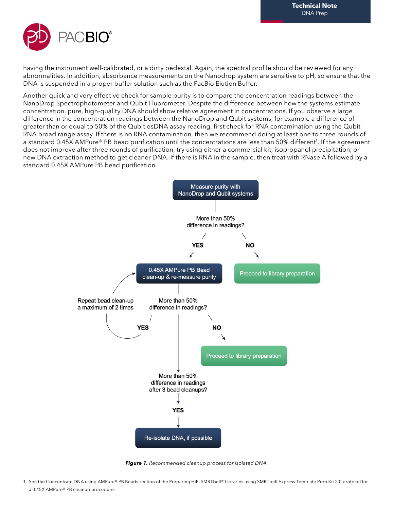

having the instrument well-calibrated, or a dirty pedestal. Again, the spectral profile should be reviewed for any abnormalities. In addition, absorbance measurements on the Nanodrop system are sensitive to pH, so ensure that the DNA is suspended in a proper buffer solution such as the PacBio Elution Buffer.

Another quick and very effective check for sample purity is to compare the concentration readings between the NanoDrop Spectrophotometer and Qubit Fluorometer. Despite the difference between how the systems estimate concentration, pure, high-quality DNA should show relative agreement in concentrations. If you observe a large difference in the concentration readings between the NanoDrop and Qubit systems, for example a difference of greater than or equal to 50% of the Qubit dsDNA assay reading, first check for RNA contamination using the Qubit RNA broad range assay. If there is no RNA contamination, then we recommend doing at least one to three rounds of a standard 0.45X AMPure® PB bead purification until the concentrations are less than 50% different<sup>1</sup>. If the agreement does not improve after three rounds of purification, try using either a commercial kit, isopropanol precipitation, or new DNA extraction method to get cleaner DNA. If there is RNA in the sample, then treat with RNase A followed by a standard 0.45X AMPure PB bead purification.



**Figure 1.** Recommended cleanup process for isolated DNA.

1 See the Concentrate DNA using AMPure® PB Beads section of the Preparing HiFi SMRTbell® Libraries using SMRTbell Express Template Prep Kit 2.0 protocol for a 0.45X AMPure® PB cleanup procedure.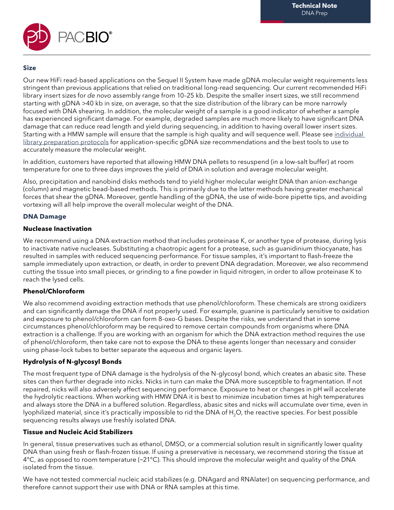

#### **Size**

Our new HiFi read-based applications on the Sequel II System have made gDNA molecular weight requirements less stringent than previous applications that relied on traditional long-read sequencing. Our current recommended HiFi library insert sizes for de novo assembly range from 10–25 kb. Despite the smaller insert sizes, we still recommend starting with gDNA >40 kb in size, on average, so that the size distribution of the library can be more narrowly focused with DNA shearing. In addition, the molecular weight of a sample is a good indicator of whether a sample has experienced significant damage. For example, degraded samples are much more likely to have significant DNA damage that can reduce read length and yield during sequencing, in addition to having overall lower insert sizes. Starting with a HMW sample will ensure that the sample is high quality and will sequence well. Please see individual library preparation protocols for application-specific gDNA size recommendations and the best tools to use to accurately measure the molecular weight.

In addition, customers have reported that allowing HMW DNA pellets to resuspend (in a low-salt buffer) at room temperature for one to three days improves the yield of DNA in solution and average molecular weight.

Also, precipitation and nanobind disks methods tend to yield higher molecular weight DNA than anion-exchange (column) and magnetic bead-based methods. This is primarily due to the latter methods having greater mechanical forces that shear the gDNA. Moreover, gentle handling of the gDNA, the use of wide-bore pipette tips, and avoiding vortexing will all help improve the overall molecular weight of the DNA.

#### **DNA Damage**

#### **Nuclease Inactivation**

We recommend using a DNA extraction method that includes proteinase K, or another type of protease, during lysis to inactivate native nucleases. Substituting a chaotropic agent for a protease, such as guanidinium thiocyanate, has resulted in samples with reduced sequencing performance. For tissue samples, it's important to flash-freeze the sample immediately upon extraction, or death, in order to prevent DNA degradation. Moreover, we also recommend cutting the tissue into small pieces, or grinding to a fine powder in liquid nitrogen, in order to allow proteinase K to reach the lysed cells.

#### **Phenol/Chloroform**

We also recommend avoiding extraction methods that use phenol/chloroform. These chemicals are strong oxidizers and can significantly damage the DNA if not properly used. For example, guanine is particularly sensitive to oxidation and exposure to phenol/chloroform can form 8-oxo-G bases. Despite the risks, we understand that in some circumstances phenol/chloroform may be required to remove certain compounds from organisms where DNA extraction is a challenge. If you are working with an organism for which the DNA extraction method requires the use of phenol/chloroform, then take care not to expose the DNA to these agents longer than necessary and consider using phase-lock tubes to better separate the aqueous and organic layers.

#### **Hydrolysis of N-glycosyl Bonds**

The most frequent type of DNA damage is the hydrolysis of the N-glycosyl bond, which creates an abasic site. These sites can then further degrade into nicks. Nicks in turn can make the DNA more susceptible to fragmentation. If not repaired, nicks will also adversely affect sequencing performance. Exposure to heat or changes in pH will accelerate the hydrolytic reactions. When working with HMW DNA it is best to minimize incubation times at high temperatures and always store the DNA in a buffered solution. Regardless, abasic sites and nicks will accumulate over time, even in lyophilized material, since it's practically impossible to rid the DNA of H<sub>2</sub>O, the reactive species. For best possible sequencing results always use freshly isolated DNA.

#### **Tissue and Nucleic Acid Stabilizers**

In general, tissue preservatives such as ethanol, DMSO, or a commercial solution result in significantly lower quality DNA than using fresh or flash-frozen tissue. If using a preservative is necessary, we recommend storing the tissue at 4°C, as opposed to room temperature (~21°C). This should improve the molecular weight and quality of the DNA isolated from the tissue.

We have not tested commercial nucleic acid stabilizes (e.g. DNAgard and RNAlater) on sequencing performance, and therefore cannot support their use with DNA or RNA samples at this time.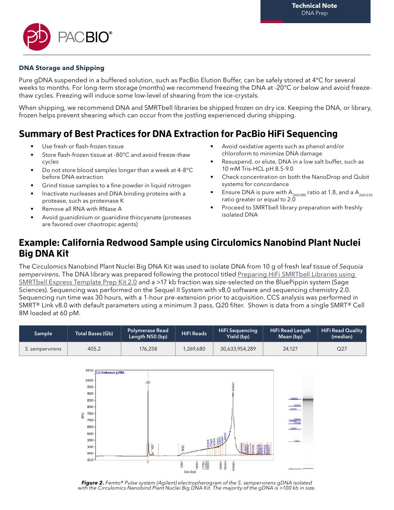

#### **DNA Storage and Shipping**

Pure gDNA suspended in a buffered solution, such as PacBio Elution Buffer, can be safely stored at 4°C for several weeks to months. For long-term storage (months) we recommend freezing the DNA at -20°C or below and avoid freezethaw cycles. Freezing will induce some low-level of shearing from the ice-crystals.

When shipping, we recommend DNA and SMRTbell libraries be shipped frozen on dry ice. Keeping the DNA, or library, frozen helps prevent shearing which can occur from the jostling experienced during shipping.

# **Summary of Best Practices for DNA Extraction for PacBio HiFi Sequencing**

- Use fresh or flash-frozen tissue
- Store flash-frozen tissue at -80°C and avoid freeze-thaw cycles
- Do not store blood samples longer than a week at 4-8°C before DNA extraction
- Grind tissue samples to a fine powder in liquid nitrogen
- Inactivate nucleases and DNA binding proteins with a protease, such as proteinase K
- Remove all RNA with RNase A
- Avoid quanidinium or quanidine thiocyanate (proteases are favored over chaotropic agents)
- Avoid oxidative agents such as phenol and/or chloroform to minimize DNA damage
- Resuspend, or elute, DNA in a low salt buffer, such as 10 mM Tris-HCL pH 8.5-9.0
- Check concentration on both the NanoDrop and Qubit systems for concordance
- Ensure DNA is pure with  $A_{260/280}$  ratio at 1.8, and a  $A_{260/230}$ ratio greater or equal to  $2.\overline{0}$
- Proceed to SMRTbell library preparation with freshly isolated DNA

### **Example: California Redwood Sample using Circulomics Nanobind Plant Nuclei Big DNA Kit**

The Circulomics Nanobind Plant Nuclei Big DNA Kit was used to isolate DNA from 10 g of fresh leaf tissue of Sequoia sempervirens. The DNA library was prepared following the protocol titled Preparing HiFi SMRTbell Libraries using SMRTbell Express Template Prep Kit 2.0 and a >17 kb fraction was size-selected on the BluePippin system (Sage Sciences). Sequencing was performed on the Sequel II System with v8.0 software and sequencing chemistry 2.0. Sequencing run time was 30 hours, with a 1-hour pre-extension prior to acquisition. CCS analysis was performed in SMRT® Link v8.0 with default parameters using a minimum 3 pass, Q20 filter. Shown is data from a single SMRT® Cell 8M loaded at 60 pM.

| Sample          | Total Bases (Gb) | <b>Polymerase Read</b><br>Length N50 (bp) | <b>HiFi Reads</b> | <b>HiFi Sequencing</b><br>Yield (bp) | <b>HiFi Read Length</b><br>Mean (bp) | <b>HiFi Read Quality</b><br>(median) |
|-----------------|------------------|-------------------------------------------|-------------------|--------------------------------------|--------------------------------------|--------------------------------------|
| S. sempervirens | 405.2            | 176,258                                   | 1.269.680         | 30,633,954,289                       | 24.127                               | Q27                                  |



**Figure 2.** Femto<sup>®</sup> Pulse system (Agilent) electropherogram of the S. sempervirens gDNA isolated with the Circulomics Nanobind Plant Nuclei Big DNA Kit. The majority of the gDNA is >100 kb in size.